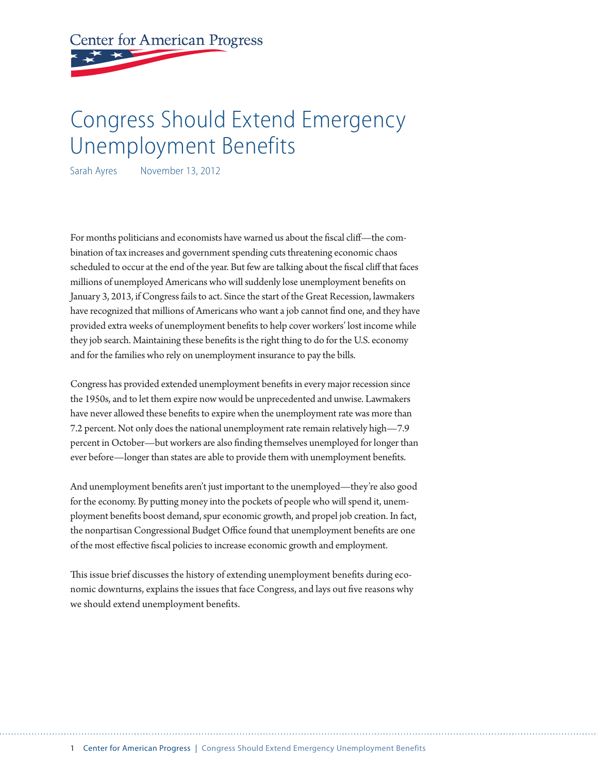**Center for American Progress** 

# Congress Should Extend Emergency Unemployment Benefits

Sarah Ayres November 13, 2012

For months politicians and economists have warned us about the fiscal cliff—the combination of tax increases and government spending cuts threatening economic chaos scheduled to occur at the end of the year. But few are talking about the fiscal cliff that faces millions of unemployed Americans who will suddenly lose unemployment benefits on January 3, 2013, if Congress fails to act. Since the start of the Great Recession, lawmakers have recognized that millions of Americans who want a job cannot find one, and they have provided extra weeks of unemployment benefits to help cover workers' lost income while they job search. Maintaining these benefits is the right thing to do for the U.S. economy and for the families who rely on unemployment insurance to pay the bills.

Congress has provided extended unemployment benefits in every major recession since the 1950s, and to let them expire now would be unprecedented and unwise. Lawmakers have never allowed these benefits to expire when the unemployment rate was more than 7.2 percent. Not only does the national unemployment rate remain relatively high—7.9 percent in October—but workers are also finding themselves unemployed for longer than ever before—longer than states are able to provide them with unemployment benefits.

And unemployment benefits aren't just important to the unemployed—they're also good for the economy. By putting money into the pockets of people who will spend it, unemployment benefits boost demand, spur economic growth, and propel job creation. In fact, the nonpartisan Congressional Budget Office found that unemployment benefits are one of the most effective fiscal policies to increase economic growth and employment.

This issue brief discusses the history of extending unemployment benefits during economic downturns, explains the issues that face Congress, and lays out five reasons why we should extend unemployment benefits.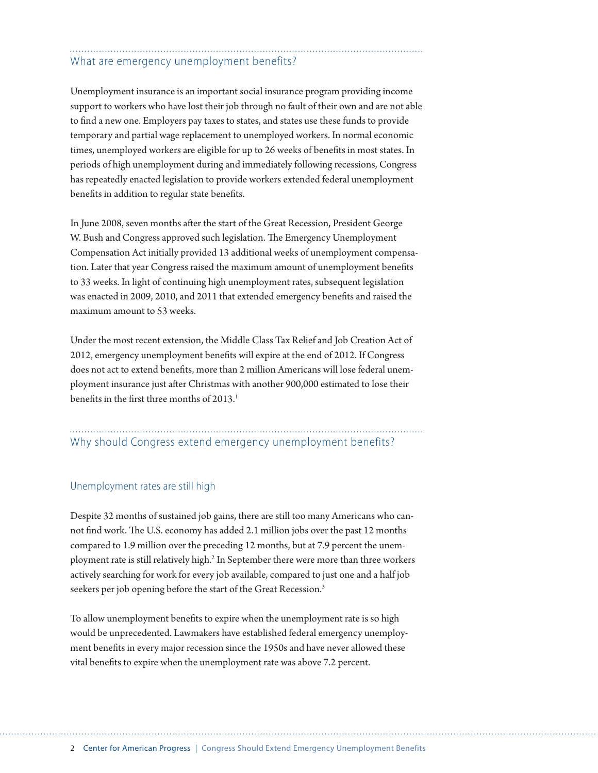# What are emergency unemployment benefits?

Unemployment insurance is an important social insurance program providing income support to workers who have lost their job through no fault of their own and are not able to find a new one. Employers pay taxes to states, and states use these funds to provide temporary and partial wage replacement to unemployed workers. In normal economic times, unemployed workers are eligible for up to 26 weeks of benefits in most states. In periods of high unemployment during and immediately following recessions, Congress has repeatedly enacted legislation to provide workers extended federal unemployment benefits in addition to regular state benefits.

In June 2008, seven months after the start of the Great Recession, President George W. Bush and Congress approved such legislation. The Emergency Unemployment Compensation Act initially provided 13 additional weeks of unemployment compensation. Later that year Congress raised the maximum amount of unemployment benefits to 33 weeks. In light of continuing high unemployment rates, subsequent legislation was enacted in 2009, 2010, and 2011 that extended emergency benefits and raised the maximum amount to 53 weeks.

Under the most recent extension, the Middle Class Tax Relief and Job Creation Act of 2012, emergency unemployment benefits will expire at the end of 2012. If Congress does not act to extend benefits, more than 2 million Americans will lose federal unemployment insurance just after Christmas with another 900,000 estimated to lose their benefits in the first three months of 2013.<sup>1</sup>

# Why should Congress extend emergency unemployment benefits?

### Unemployment rates are still high

Despite 32 months of sustained job gains, there are still too many Americans who cannot find work. The U.S. economy has added 2.1 million jobs over the past 12 months compared to 1.9 million over the preceding 12 months, but at 7.9 percent the unemployment rate is still relatively high.<sup>2</sup> In September there were more than three workers actively searching for work for every job available, compared to just one and a half job seekers per job opening before the start of the Great Recession.<sup>3</sup>

To allow unemployment benefits to expire when the unemployment rate is so high would be unprecedented. Lawmakers have established federal emergency unemployment benefits in every major recession since the 1950s and have never allowed these vital benefits to expire when the unemployment rate was above 7.2 percent.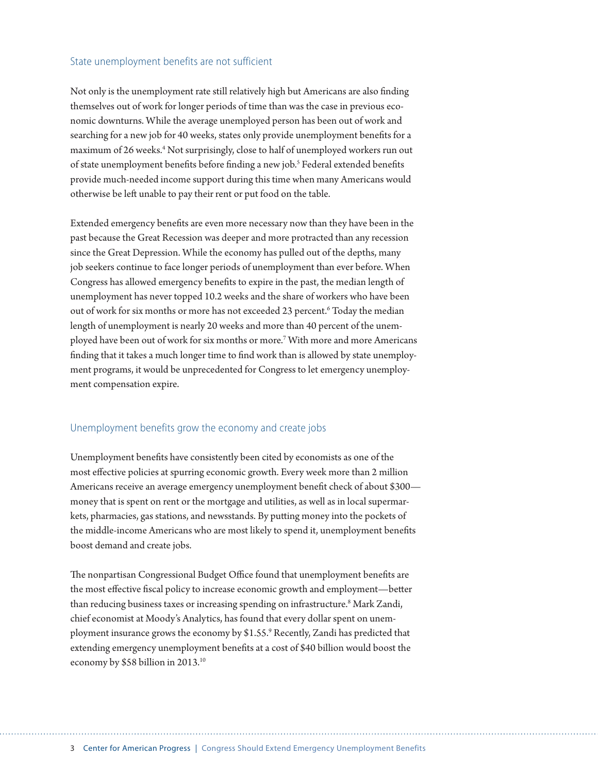#### State unemployment benefits are not sufficient

Not only is the unemployment rate still relatively high but Americans are also finding themselves out of work for longer periods of time than was the case in previous economic downturns. While the average unemployed person has been out of work and searching for a new job for 40 weeks, states only provide unemployment benefits for a maximum of 26 weeks.<sup>4</sup> Not surprisingly, close to half of unemployed workers run out of state unemployment benefits before finding a new job.<sup>5</sup> Federal extended benefits provide much-needed income support during this time when many Americans would otherwise be left unable to pay their rent or put food on the table.

Extended emergency benefits are even more necessary now than they have been in the past because the Great Recession was deeper and more protracted than any recession since the Great Depression. While the economy has pulled out of the depths, many job seekers continue to face longer periods of unemployment than ever before. When Congress has allowed emergency benefits to expire in the past, the median length of unemployment has never topped 10.2 weeks and the share of workers who have been out of work for six months or more has not exceeded 23 percent.<sup>6</sup> Today the median length of unemployment is nearly 20 weeks and more than 40 percent of the unemployed have been out of work for six months or more.7 With more and more Americans finding that it takes a much longer time to find work than is allowed by state unemployment programs, it would be unprecedented for Congress to let emergency unemployment compensation expire.

#### Unemployment benefits grow the economy and create jobs

Unemployment benefits have consistently been cited by economists as one of the most effective policies at spurring economic growth. Every week more than 2 million Americans receive an average emergency unemployment benefit check of about \$300 money that is spent on rent or the mortgage and utilities, as well as in local supermarkets, pharmacies, gas stations, and newsstands. By putting money into the pockets of the middle-income Americans who are most likely to spend it, unemployment benefits boost demand and create jobs.

The nonpartisan Congressional Budget Office found that unemployment benefits are the most effective fiscal policy to increase economic growth and employment—better than reducing business taxes or increasing spending on infrastructure.<sup>8</sup> Mark Zandi, chief economist at Moody's Analytics, has found that every dollar spent on unemployment insurance grows the economy by \$1.55.9 Recently, Zandi has predicted that extending emergency unemployment benefits at a cost of \$40 billion would boost the economy by \$58 billion in 2013.10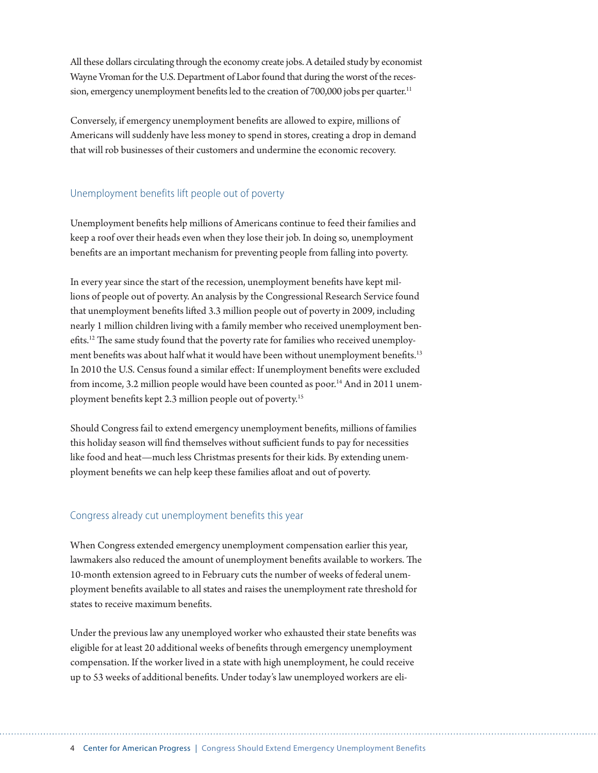All these dollars circulating through the economy create jobs. A detailed study by economist Wayne Vroman for the U.S. Department of Labor found that during the worst of the recession, emergency unemployment benefits led to the creation of 700,000 jobs per quarter.<sup>11</sup>

Conversely, if emergency unemployment benefits are allowed to expire, millions of Americans will suddenly have less money to spend in stores, creating a drop in demand that will rob businesses of their customers and undermine the economic recovery.

### Unemployment benefits lift people out of poverty

Unemployment benefits help millions of Americans continue to feed their families and keep a roof over their heads even when they lose their job. In doing so, unemployment benefits are an important mechanism for preventing people from falling into poverty.

In every year since the start of the recession, unemployment benefits have kept millions of people out of poverty. An analysis by the Congressional Research Service found that unemployment benefits lifted 3.3 million people out of poverty in 2009, including nearly 1 million children living with a family member who received unemployment benefits.12 The same study found that the poverty rate for families who received unemployment benefits was about half what it would have been without unemployment benefits.<sup>13</sup> In 2010 the U.S. Census found a similar effect: If unemployment benefits were excluded from income, 3.2 million people would have been counted as poor.<sup>14</sup> And in 2011 unemployment benefits kept 2.3 million people out of poverty.15

Should Congress fail to extend emergency unemployment benefits, millions of families this holiday season will find themselves without sufficient funds to pay for necessities like food and heat—much less Christmas presents for their kids. By extending unemployment benefits we can help keep these families afloat and out of poverty.

## Congress already cut unemployment benefits this year

When Congress extended emergency unemployment compensation earlier this year, lawmakers also reduced the amount of unemployment benefits available to workers. The 10-month extension agreed to in February cuts the number of weeks of federal unemployment benefits available to all states and raises the unemployment rate threshold for states to receive maximum benefits.

Under the previous law any unemployed worker who exhausted their state benefits was eligible for at least 20 additional weeks of benefits through emergency unemployment compensation. If the worker lived in a state with high unemployment, he could receive up to 53 weeks of additional benefits. Under today's law unemployed workers are eli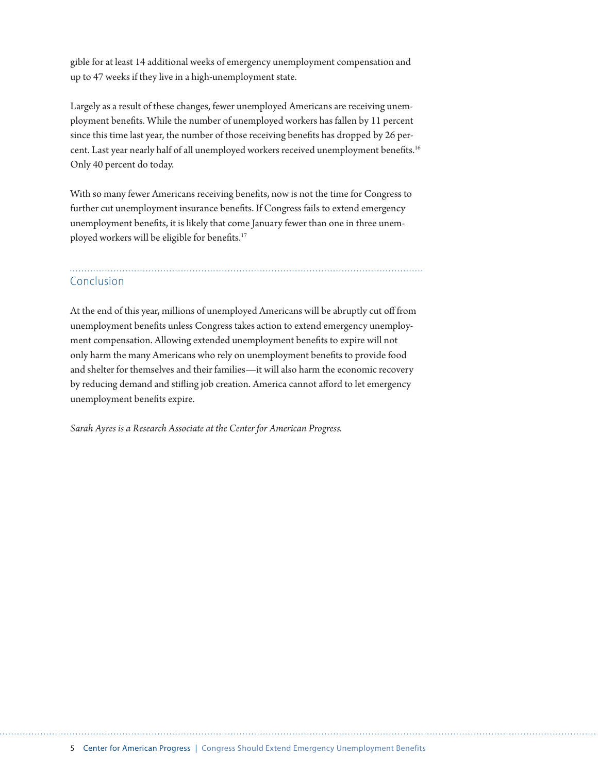gible for at least 14 additional weeks of emergency unemployment compensation and up to 47 weeks if they live in a high-unemployment state.

Largely as a result of these changes, fewer unemployed Americans are receiving unemployment benefits. While the number of unemployed workers has fallen by 11 percent since this time last year, the number of those receiving benefits has dropped by 26 percent. Last year nearly half of all unemployed workers received unemployment benefits.<sup>16</sup> Only 40 percent do today.

With so many fewer Americans receiving benefits, now is not the time for Congress to further cut unemployment insurance benefits. If Congress fails to extend emergency unemployment benefits, it is likely that come January fewer than one in three unemployed workers will be eligible for benefits.<sup>17</sup>

# Conclusion

At the end of this year, millions of unemployed Americans will be abruptly cut off from unemployment benefits unless Congress takes action to extend emergency unemployment compensation. Allowing extended unemployment benefits to expire will not only harm the many Americans who rely on unemployment benefits to provide food and shelter for themselves and their families—it will also harm the economic recovery by reducing demand and stifling job creation. America cannot afford to let emergency unemployment benefits expire.

*Sarah Ayres is a Research Associate at the Center for American Progress.*